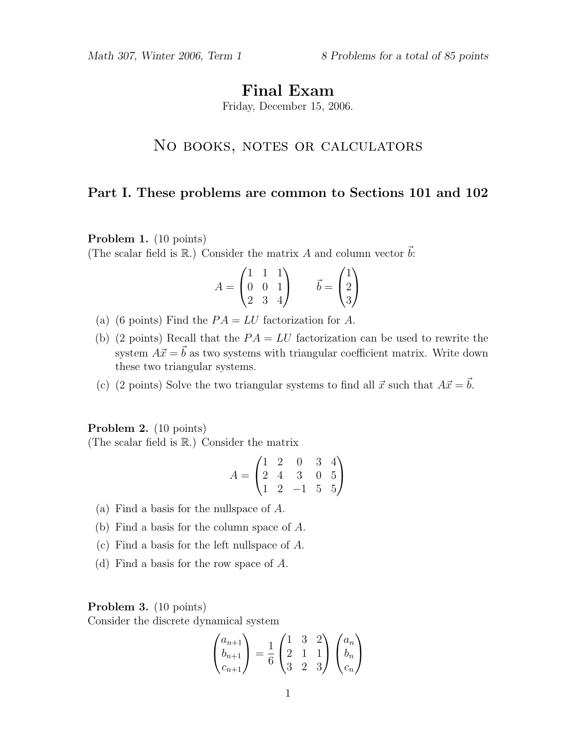# Final Exam

Friday, December 15, 2006.

# NO BOOKS, NOTES OR CALCULATORS

# Part I. These problems are common to Sections 101 and 102

Problem 1. (10 points)

(The scalar field is  $\mathbb{R}$ .) Consider the matrix A and column vector  $\vec{b}$ :

$$
A = \begin{pmatrix} 1 & 1 & 1 \\ 0 & 0 & 1 \\ 2 & 3 & 4 \end{pmatrix} \qquad \vec{b} = \begin{pmatrix} 1 \\ 2 \\ 3 \end{pmatrix}
$$

- (a) (6 points) Find the  $PA = LU$  factorization for A.
- (b) (2 points) Recall that the  $PA = LU$  factorization can be used to rewrite the system  $A\vec{x} = \vec{b}$  as two systems with triangular coefficient matrix. Write down these two triangular systems.
- (c) (2 points) Solve the two triangular systems to find all  $\vec{x}$  such that  $A\vec{x} = \vec{b}$ .

#### Problem 2. (10 points)

(The scalar field is R.) Consider the matrix

$$
A = \begin{pmatrix} 1 & 2 & 0 & 3 & 4 \\ 2 & 4 & 3 & 0 & 5 \\ 1 & 2 & -1 & 5 & 5 \end{pmatrix}
$$

- (a) Find a basis for the nullspace of A.
- (b) Find a basis for the column space of A.
- (c) Find a basis for the left nullspace of A.
- (d) Find a basis for the row space of A.

### Problem 3. (10 points)

Consider the discrete dynamical system

$$
\begin{pmatrix} a_{n+1} \\ b_{n+1} \\ c_{n+1} \end{pmatrix} = \frac{1}{6} \begin{pmatrix} 1 & 3 & 2 \\ 2 & 1 & 1 \\ 3 & 2 & 3 \end{pmatrix} \begin{pmatrix} a_n \\ b_n \\ c_n \end{pmatrix}
$$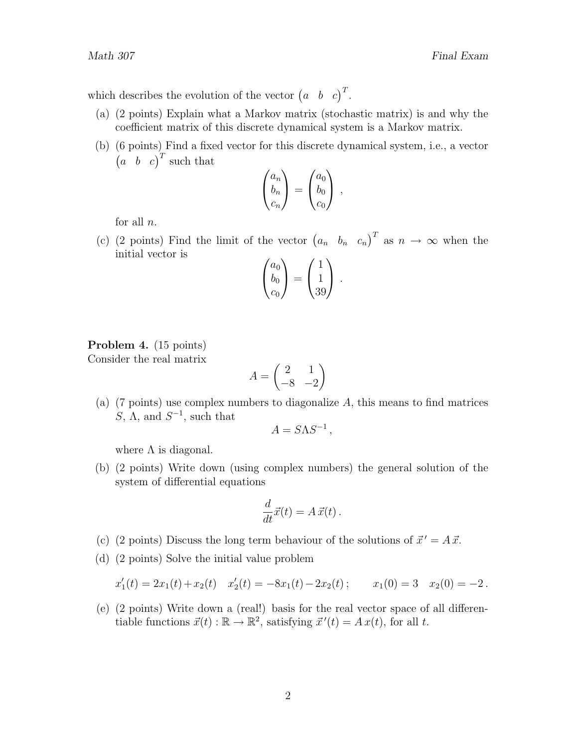which describes the evolution of the vector  $\begin{pmatrix} a & b & c \end{pmatrix}^T$ .

- (a) (2 points) Explain what a Markov matrix (stochastic matrix) is and why the coefficient matrix of this discrete dynamical system is a Markov matrix.
- (b) (6 points) Find a fixed vector for this discrete dynamical system, i.e., a vector  $\begin{pmatrix} a & b & c \end{pmatrix}^T$  such that

$$
\begin{pmatrix} a_n \\ b_n \\ c_n \end{pmatrix} = \begin{pmatrix} a_0 \\ b_0 \\ c_0 \end{pmatrix} ,
$$

for all  $n$ .

(c) (2 points) Find the limit of the vector  $(a_n, b_n, c_n)^T$  as  $n \to \infty$  when the initial vector is

$$
\begin{pmatrix} a_0 \\ b_0 \\ c_0 \end{pmatrix} = \begin{pmatrix} 1 \\ 1 \\ 39 \end{pmatrix}.
$$

#### Problem 4. (15 points) Consider the real matrix

$$
A = \begin{pmatrix} 2 & 1 \\ -8 & -2 \end{pmatrix}
$$

(a)  $(7 \text{ points})$  use complex numbers to diagonalize A, this means to find matrices S,  $\Lambda$ , and  $S^{-1}$ , such that

$$
A = S\Lambda S^{-1},
$$

where  $\Lambda$  is diagonal.

(b) (2 points) Write down (using complex numbers) the general solution of the system of differential equations

$$
\frac{d}{dt}\vec{x}(t) = A\,\vec{x}(t) \,.
$$

- (c) (2 points) Discuss the long term behaviour of the solutions of  $\vec{x}' = A \vec{x}$ .
- (d) (2 points) Solve the initial value problem

$$
x_1'(t) = 2x_1(t) + x_2(t) \quad x_2'(t) = -8x_1(t) - 2x_2(t); \qquad x_1(0) = 3 \quad x_2(0) = -2.
$$

(e) (2 points) Write down a (real!) basis for the real vector space of all differentiable functions  $\vec{x}(t) : \mathbb{R} \to \mathbb{R}^2$ , satisfying  $\vec{x}'(t) = Ax(t)$ , for all t.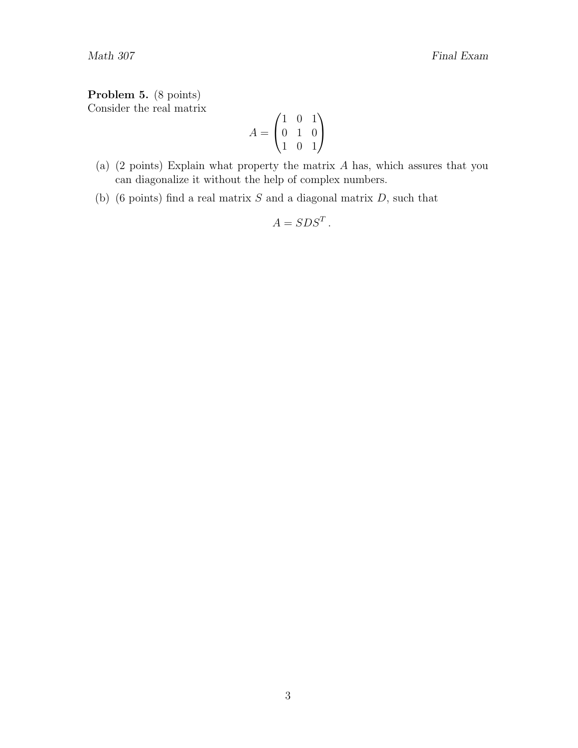### Problem 5. (8 points)

Consider the real matrix

$$
A = \begin{pmatrix} 1 & 0 & 1 \\ 0 & 1 & 0 \\ 1 & 0 & 1 \end{pmatrix}
$$

- (a) (2 points) Explain what property the matrix A has, which assures that you can diagonalize it without the help of complex numbers.
- (b) (6 points) find a real matrix  $S$  and a diagonal matrix  $D$ , such that

$$
A=SDS^T.
$$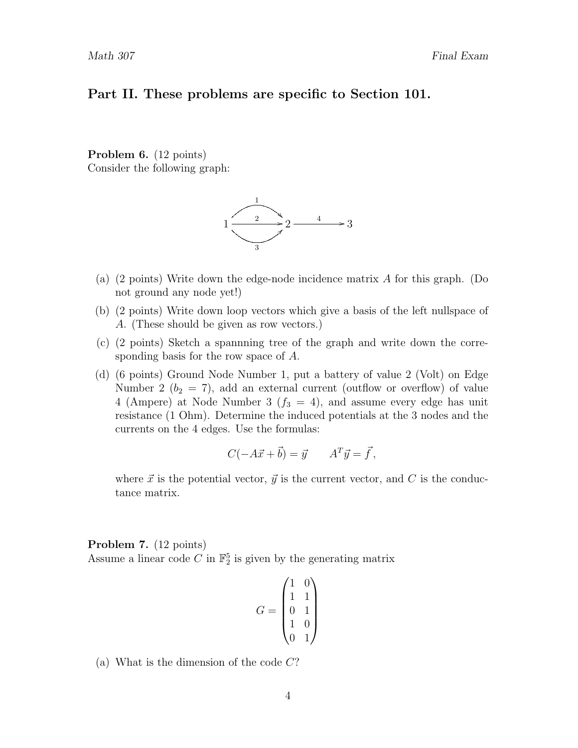### Part II. These problems are specific to Section 101.

Problem 6. (12 points) Consider the following graph:



- (a) (2 points) Write down the edge-node incidence matrix A for this graph. (Do not ground any node yet!)
- (b) (2 points) Write down loop vectors which give a basis of the left nullspace of A. (These should be given as row vectors.)
- (c) (2 points) Sketch a spannning tree of the graph and write down the corresponding basis for the row space of A.
- (d) (6 points) Ground Node Number 1, put a battery of value 2 (Volt) on Edge Number 2 ( $b_2 = 7$ ), add an external current (outflow or overflow) of value 4 (Ampere) at Node Number 3 ( $f_3 = 4$ ), and assume every edge has unit resistance (1 Ohm). Determine the induced potentials at the 3 nodes and the currents on the 4 edges. Use the formulas:

$$
C(-A\vec{x} + \vec{b}) = \vec{y} \qquad A^T \vec{y} = \vec{f},
$$

where  $\vec{x}$  is the potential vector,  $\vec{y}$  is the current vector, and C is the conductance matrix.

#### Problem 7. (12 points)

Assume a linear code  $C$  in  $\mathbb{F}_2^5$  is given by the generating matrix

$$
G = \begin{pmatrix} 1 & 0 \\ 1 & 1 \\ 0 & 1 \\ 1 & 0 \\ 0 & 1 \end{pmatrix}
$$

(a) What is the dimension of the code  $C$ ?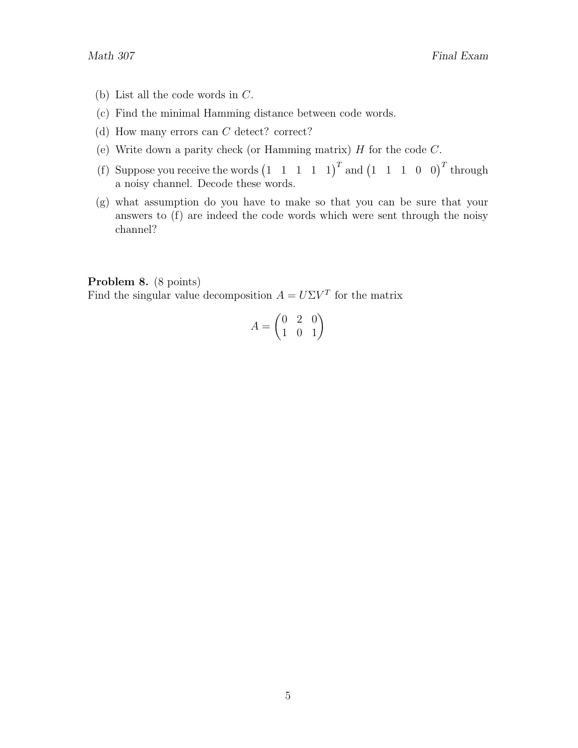- (b) List all the code words in C.
- (c) Find the minimal Hamming distance between code words.
- (d) How many errors can C detect? correct?
- (e) Write down a parity check (or Hamming matrix)  $H$  for the code  $C$ .
- (f) Suppose you receive the words  $(1 \t1 \t1 \t1 \t1)^T$  and  $(1 \t1 \t1 \t0 \t0)^T$  through a noisy channel. Decode these words.
- (g) what assumption do you have to make so that you can be sure that your answers to (f) are indeed the code words which were sent through the noisy channel?

### Problem 8. (8 points)

Find the singular value decomposition  $A = U\Sigma V^T$  for the matrix

$$
A = \begin{pmatrix} 0 & 2 & 0 \\ 1 & 0 & 1 \end{pmatrix}
$$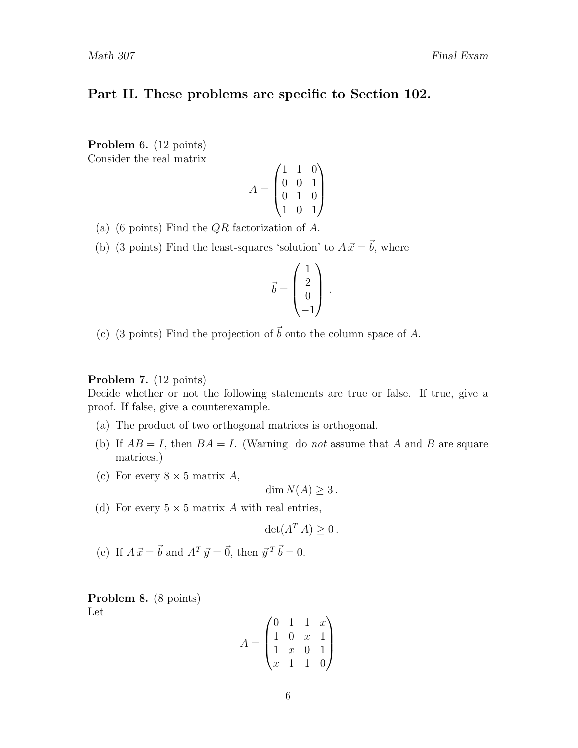# Part II. These problems are specific to Section 102.

Problem 6. (12 points) Consider the real matrix

$$
A = \begin{pmatrix} 1 & 1 & 0 \\ 0 & 0 & 1 \\ 0 & 1 & 0 \\ 1 & 0 & 1 \end{pmatrix}
$$

- (a) (6 points) Find the  $QR$  factorization of A.
- (b) (3 points) Find the least-squares 'solution' to  $A \vec{x} = \vec{b}$ , where

$$
\vec{b} = \begin{pmatrix} 1 \\ 2 \\ 0 \\ -1 \end{pmatrix}.
$$

(c) (3 points) Find the projection of  $\vec{b}$  onto the column space of A.

#### Problem 7. (12 points)

Decide whether or not the following statements are true or false. If true, give a proof. If false, give a counterexample.

- (a) The product of two orthogonal matrices is orthogonal.
- (b) If  $AB = I$ , then  $BA = I$ . (Warning: do not assume that A and B are square matrices.)
- (c) For every  $8 \times 5$  matrix A,

$$
\dim N(A) \ge 3.
$$

(d) For every  $5 \times 5$  matrix A with real entries,

$$
\det(A^T A) \ge 0.
$$

(e) If  $A \vec{x} = \vec{b}$  and  $A^T \vec{y} = \vec{0}$ , then  $\vec{y}^T \vec{b} = 0$ .

Problem 8. (8 points) Let

$$
A = \begin{pmatrix} 0 & 1 & 1 & x \\ 1 & 0 & x & 1 \\ 1 & x & 0 & 1 \\ x & 1 & 1 & 0 \end{pmatrix}
$$